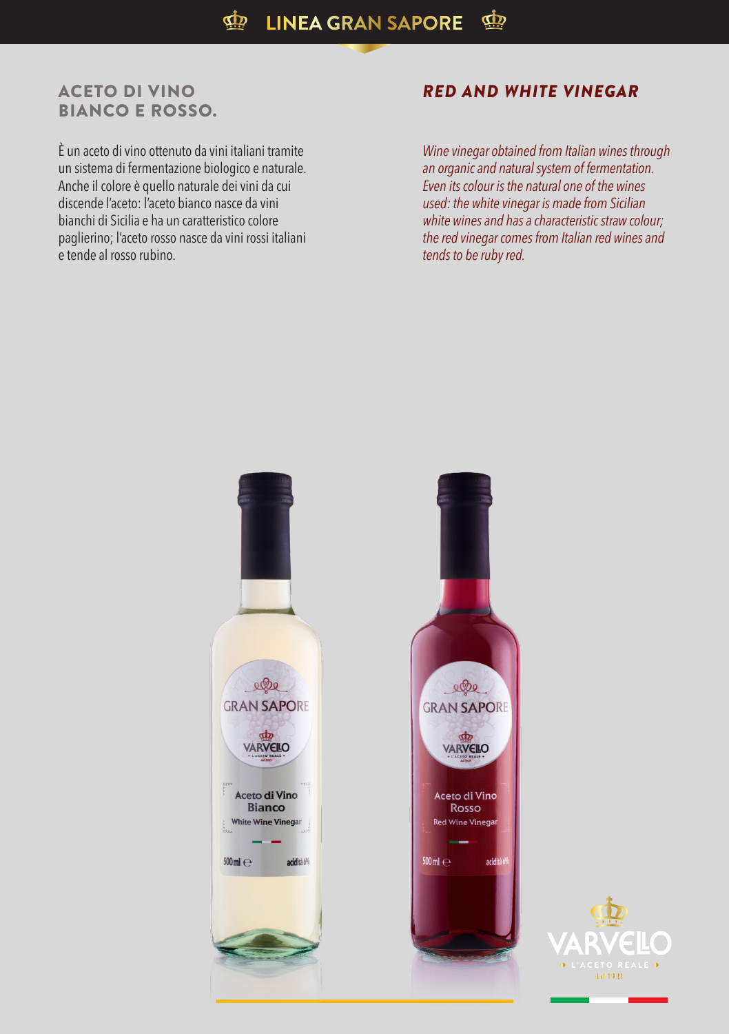## ACETO DI VINO BIANCO E ROSSO.

È un aceto di vino ottenuto da vini italiani tramite un sistema di fermentazione biologico e naturale. Anche il colore è quello naturale dei vini da cui discende l'aceto: l'aceto bianco nasce da vini bianchi di Sicilia e ha un caratteristico colore paglierino; l'aceto rosso nasce da vini rossi italiani e tende al rosso rubino.

## *RED AND WHITE VINEGAR*

*Wine vinegar obtained from Italian wines through an organic and natural system of fermentation. Even its colour is the natural one of the wines used: the white vinegar is made from Sicilian white wines and has a characteristic straw colour; the red vinegar comes from Italian red wines and tends to be ruby red.*